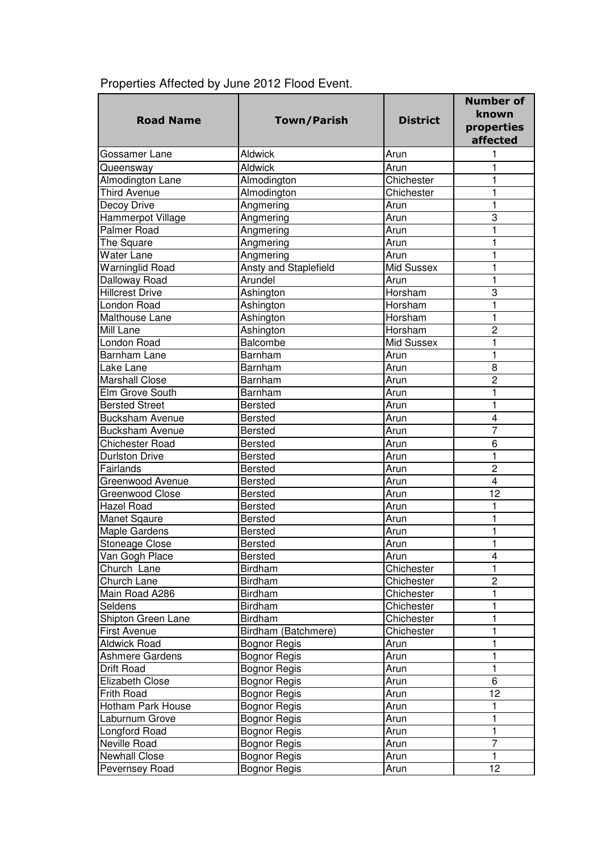| <b>Road Name</b>       | <b>Town/Parish</b>    | <b>District</b> | <b>Number of</b><br>known<br>properties<br>affected |
|------------------------|-----------------------|-----------------|-----------------------------------------------------|
| Gossamer Lane          | <b>Aldwick</b>        | Arun            | 1                                                   |
| Queensway              | <b>Aldwick</b>        | Arun            | 1                                                   |
| Almodington Lane       | Almodington           | Chichester      | 1                                                   |
| <b>Third Avenue</b>    | Almodington           | Chichester      | 1                                                   |
| Decoy Drive            | Angmering             | Arun            | 1                                                   |
| Hammerpot Village      | Angmering             | Arun            | 3                                                   |
| Palmer Road            | Angmering             | Arun            | 1                                                   |
| The Square             | Angmering             | Arun            | 1                                                   |
| Water Lane             | Angmering             | Arun            | 1                                                   |
| <b>Warninglid Road</b> | Ansty and Staplefield | Mid Sussex      | 1                                                   |
| Dalloway Road          | Arundel               | Arun            | 1                                                   |
| <b>Hillcrest Drive</b> | Ashington             | Horsham         | 3                                                   |
| London Road            | Ashington             | Horsham         | 1                                                   |
| Malthouse Lane         | Ashington             | Horsham         | $\mathbf{1}$                                        |
| Mill Lane              | Ashington             | Horsham         | $\overline{2}$                                      |
| London Road            | Balcombe              | Mid Sussex      | 1                                                   |
| Barnham Lane           | Barnham               | Arun            | 1                                                   |
| Lake Lane              | Barnham               | Arun            | 8                                                   |
| Marshall Close         | Barnham               | Arun            | $\overline{2}$                                      |
|                        |                       | Arun            |                                                     |
| Elm Grove South        | Barnham               |                 | 1                                                   |
| <b>Bersted Street</b>  | <b>Bersted</b>        | Arun            | 1<br>4                                              |
| <b>Bucksham Avenue</b> | <b>Bersted</b>        | Arun            | $\overline{7}$                                      |
| <b>Bucksham Avenue</b> | <b>Bersted</b>        | Arun            |                                                     |
| <b>Chichester Road</b> | <b>Bersted</b>        | Arun            | 6                                                   |
| <b>Durlston Drive</b>  | <b>Bersted</b>        | Arun            | $\mathbf{1}$                                        |
| Fairlands              | <b>Bersted</b>        | Arun            | $\overline{c}$                                      |
| Greenwood Avenue       | <b>Bersted</b>        | Arun            | 4                                                   |
| Greenwood Close        | <b>Bersted</b>        | Arun            | 12                                                  |
| <b>Hazel Road</b>      | <b>Bersted</b>        | Arun            | 1                                                   |
| Manet Sqaure           | <b>Bersted</b>        | Arun            | 1                                                   |
| <b>Maple Gardens</b>   | <b>Bersted</b>        | Arun            | 1                                                   |
| Stoneage Close         | <b>Bersted</b>        | Arun            | 1                                                   |
| Van Gogh Place         | Bersted               | Arun            | 4                                                   |
| Church Lane            | <b>Birdham</b>        | Chichester      | 1                                                   |
| Church Lane            | <b>Birdham</b>        | Chichester      | $\overline{c}$                                      |
| Main Road A286         | Birdham               | Chichester      | 1                                                   |
| Seldens                | Birdham               | Chichester      | 1                                                   |
| Shipton Green Lane     | Birdham               | Chichester      | 1                                                   |
| <b>First Avenue</b>    | Birdham (Batchmere)   | Chichester      | 1                                                   |
| <b>Aldwick Road</b>    | <b>Bognor Regis</b>   | Arun            | 1                                                   |
| Ashmere Gardens        | <b>Bognor Regis</b>   | Arun            | 1                                                   |
| Drift Road             | <b>Bognor Regis</b>   | Arun            | 1                                                   |
| <b>Elizabeth Close</b> | Bognor Regis          | Arun            | $\overline{6}$                                      |
| Frith Road             | <b>Bognor Regis</b>   | Arun            | 12                                                  |
| Hotham Park House      | <b>Bognor Regis</b>   | Arun            | 1                                                   |
| Laburnum Grove         | <b>Bognor Regis</b>   | Arun            | 1                                                   |
| Longford Road          | <b>Bognor Regis</b>   | Arun            | $\mathbf{1}$                                        |
| Neville Road           | <b>Bognor Regis</b>   | Arun            | 7                                                   |
| <b>Newhall Close</b>   | <b>Bognor Regis</b>   | Arun            | $\mathbf{1}$                                        |
| Pevernsey Road         | <b>Bognor Regis</b>   | Arun            | 12 <sub>2</sub>                                     |

## Properties Affected by June 2012 Flood Event.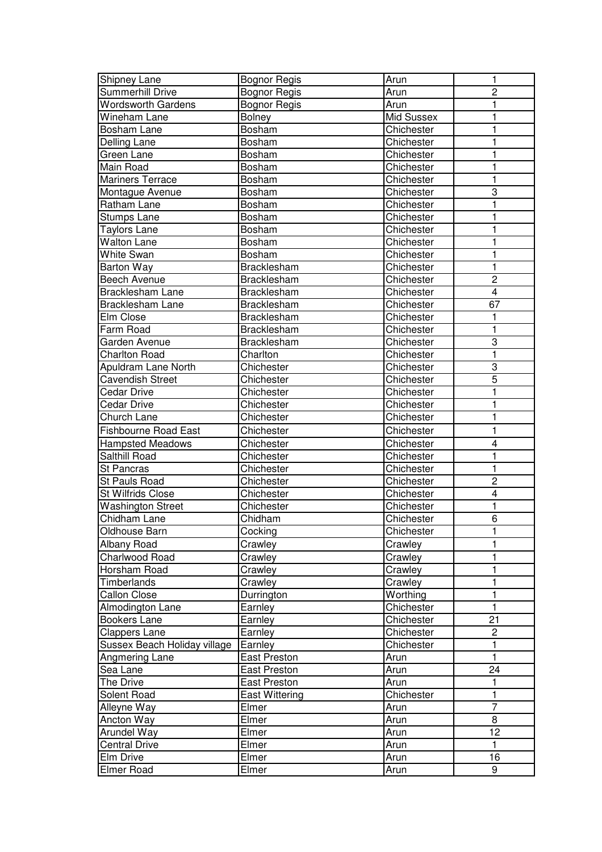| Shipney Lane                 | <b>Bognor Regis</b>   | Arun       | 1                       |
|------------------------------|-----------------------|------------|-------------------------|
| <b>Summerhill Drive</b>      | Bognor Regis          | Arun       | $\overline{c}$          |
| <b>Wordsworth Gardens</b>    | <b>Bognor Regis</b>   | Arun       | 1                       |
| Wineham Lane                 | Bolney                | Mid Sussex | 1                       |
| Bosham Lane                  | Bosham                | Chichester | 1                       |
| Delling Lane                 | Bosham                | Chichester | 1                       |
| Green Lane                   | Bosham                | Chichester | 1                       |
| Main Road                    | Bosham                | Chichester | 1                       |
| <b>Mariners Terrace</b>      | Bosham                | Chichester | 1                       |
| Montague Avenue              | Bosham                | Chichester | 3                       |
| Ratham Lane                  | Bosham                | Chichester | 1                       |
| <b>Stumps Lane</b>           | Bosham                | Chichester | 1                       |
| Taylors Lane                 | Bosham                | Chichester | 1                       |
| Walton Lane                  | Bosham                | Chichester | 1                       |
| White Swan                   | Bosham                | Chichester | 1                       |
|                              |                       |            | $\mathbf{1}$            |
| <b>Barton Way</b>            | <b>Bracklesham</b>    | Chichester | $\overline{c}$          |
| Beech Avenue                 | Bracklesham           | Chichester |                         |
| <b>Bracklesham Lane</b>      | Bracklesham           | Chichester | $\overline{\mathbf{4}}$ |
| <b>Bracklesham Lane</b>      | <b>Bracklesham</b>    | Chichester | 67                      |
| Elm Close                    | Bracklesham           | Chichester | 1                       |
| Farm Road                    | Bracklesham           | Chichester | 1                       |
| Garden Avenue                | Bracklesham           | Chichester | 3                       |
| <b>Charlton Road</b>         | Charlton              | Chichester | 1                       |
| Apuldram Lane North          | Chichester            | Chichester | 3                       |
| <b>Cavendish Street</b>      | Chichester            | Chichester | 5                       |
| <b>Cedar Drive</b>           | Chichester            | Chichester | 1                       |
| <b>Cedar Drive</b>           | Chichester            | Chichester | 1                       |
| Church Lane                  | Chichester            | Chichester | $\mathbf{1}$            |
| <b>Fishbourne Road East</b>  | Chichester            | Chichester | 1                       |
| <b>Hampsted Meadows</b>      | Chichester            | Chichester | 4                       |
| Salthill Road                | Chichester            | Chichester | 1                       |
| <b>St Pancras</b>            | Chichester            | Chichester | 1                       |
| <b>St Pauls Road</b>         | Chichester            | Chichester | $\overline{2}$          |
| <b>St Wilfrids Close</b>     | Chichester            | Chichester | $\overline{\mathbf{4}}$ |
| <b>Washington Street</b>     | Chichester            | Chichester | 1                       |
| Chidham Lane                 | Chidham               | Chichester | 6                       |
| Oldhouse Barn                | Cocking               | Chichester |                         |
| Albany Road                  | Crawley               | Crawley    | 1                       |
| Charlwood Road               | Crawley               | Crawley    | 1                       |
| Horsham Road                 | Crawley               | Crawley    | 1                       |
| Timberlands                  | Crawley               | Crawley    | 1                       |
| <b>Callon Close</b>          | Durrington            | Worthing   | 1                       |
| Almodington Lane             | Earnley               | Chichester | $\mathbf{1}$            |
| <b>Bookers Lane</b>          | Earnley               | Chichester | 21                      |
| <b>Clappers Lane</b>         | Earnley               | Chichester | $\overline{\mathbf{c}}$ |
| Sussex Beach Holiday village | Earnley               | Chichester | 1                       |
| Angmering Lane               | East Preston          | Arun       | $\overline{1}$          |
| Sea Lane                     | East Preston          | Arun       | 24                      |
| The Drive                    | East Preston          | Arun       | $\mathbf{1}$            |
| Solent Road                  | <b>East Wittering</b> | Chichester | 1                       |
| Alleyne Way                  | Elmer                 | Arun       | $\overline{7}$          |
| Ancton Way                   | Elmer                 | Arun       | 8                       |
|                              | Elmer                 | Arun       | 12                      |
| Arundel Way                  | Elmer                 | Arun       | $\mathbf{1}$            |
| <b>Central Drive</b>         |                       |            |                         |
| Elm Drive                    | Elmer                 | Arun       | 16                      |
| <b>Elmer Road</b>            | Elmer                 | Arun       | 9                       |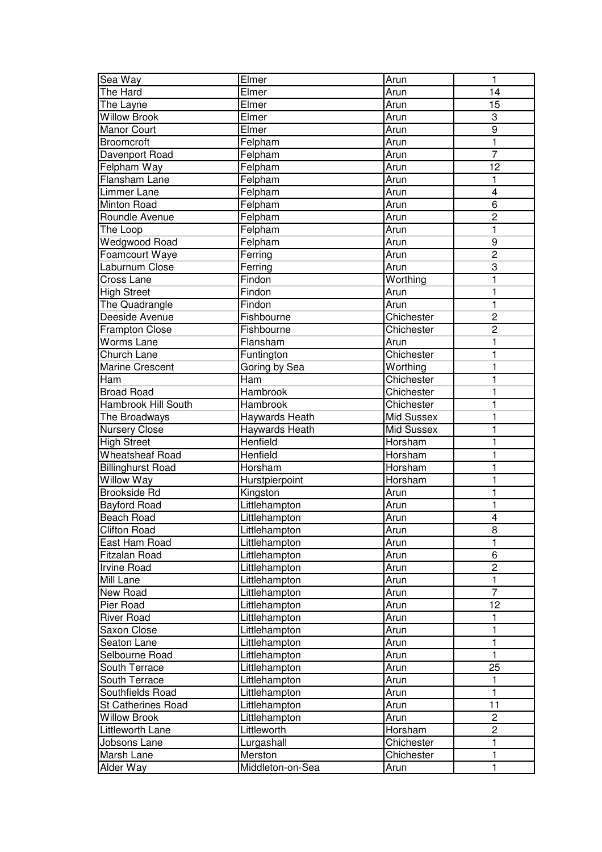| Sea Way                  | Elmer             | Arun       | 1                       |
|--------------------------|-------------------|------------|-------------------------|
| The Hard                 | Elmer             | Arun       | 14                      |
| The Layne                | Elmer             | Arun       | 15                      |
| <b>Willow Brook</b>      | Elmer             | Arun       | 3                       |
| <b>Manor Court</b>       | Elmer             | Arun       | $\boldsymbol{9}$        |
| <b>Broomcroft</b>        | Felpham           | Arun       | $\mathbf{1}$            |
| Davenport Road           | Felpham           | Arun       | $\overline{7}$          |
| Felpham Way              | Felpham           | Arun       | 12                      |
| Flansham Lane            | Felpham           | Arun       | 1                       |
| Limmer Lane              | Felpham           | Arun       | $\overline{\mathbf{4}}$ |
| Minton Road              | Felpham           | Arun       | $\overline{6}$          |
| Roundle Avenue           | Felpham           | Arun       | $\overline{2}$          |
| The Loop                 | Felpham           | Arun       | 1                       |
| Wedgwood Road            | Felpham           | Arun       | $\boldsymbol{9}$        |
| Foamcourt Waye           | Ferring           | Arun       | $\overline{c}$          |
| Laburnum Close           |                   |            | 3                       |
|                          | Ferring<br>Findon | Arun       | 1                       |
| Cross Lane               |                   | Worthing   |                         |
| <b>High Street</b>       | Findon            | Arun       | 1                       |
| The Quadrangle           | Findon            | Arun       | $\mathbf{1}$            |
| Deeside Avenue           | Fishbourne        | Chichester | $\overline{c}$          |
| <b>Frampton Close</b>    | Fishbourne        | Chichester | $\overline{c}$          |
| Worms Lane               | Flansham          | Arun       | 1                       |
| Church Lane              | Funtington        | Chichester | 1                       |
| Marine Crescent          | Goring by Sea     | Worthing   | $\mathbf{1}$            |
| Ham                      | Ham               | Chichester | 1                       |
| <b>Broad Road</b>        | Hambrook          | Chichester | 1                       |
| Hambrook Hill South      | Hambrook          | Chichester | 1                       |
| The Broadways            | Haywards Heath    | Mid Sussex | 1                       |
| <b>Nursery Close</b>     | Haywards Heath    | Mid Sussex | 1                       |
| <b>High Street</b>       | Henfield          | Horsham    | 1                       |
| <b>Wheatsheaf Road</b>   | Henfield          | Horsham    | 1                       |
| <b>Billinghurst Road</b> | Horsham           | Horsham    | 1                       |
| <b>Willow Way</b>        | Hurstpierpoint    | Horsham    | 1                       |
| <b>Brookside Rd</b>      | Kingston          | Arun       | 1                       |
| Bayford Road             | Littlehampton     | Arun       | 1                       |
| <b>Beach Road</b>        | Littlehampton     | Arun       | $\overline{\mathbf{4}}$ |
| <b>Clifton Road</b>      | Littlehampton     | Arun       | 8                       |
| East Ham Road            | Littlehampton     | Arun       | 1                       |
| Fitzalan Road            | Littlehampton     | Arun       | 6                       |
| <b>Irvine Road</b>       | Littlehampton     | Arun       | $\overline{c}$          |
| <b>Mill Lane</b>         | Littlehampton     | Arun       | 1                       |
| New Road                 | Littlehampton     | Arun       | $\overline{7}$          |
| Pier Road                | Littlehampton     | Arun       | 12                      |
| <b>River Road</b>        | Littlehampton     | Arun       | 1                       |
| Saxon Close              | Littlehampton     | Arun       | 1                       |
| Seaton Lane              | Littlehampton     | Arun       | 1                       |
| Selbourne Road           | Littlehampton     | Arun       | $\mathbf{1}$            |
| South Terrace            | Littlehampton     | Arun       | 25                      |
| South Terrace            | Littlehampton     | Arun       | 1                       |
| Southfields Road         | Littlehampton     | Arun       | 1                       |
| St Catherines Road       | Littlehampton     | Arun       | 11                      |
| <b>Willow Brook</b>      | Littlehampton     | Arun       | $\overline{c}$          |
|                          | Littleworth       |            | $\mathbf 2$             |
| Littleworth Lane         |                   | Horsham    |                         |
| Jobsons Lane             | Lurgashall        | Chichester | 1                       |
| Marsh Lane               | Merston           | Chichester | 1                       |
| Alder Way                | Middleton-on-Sea  | Arun       | 1                       |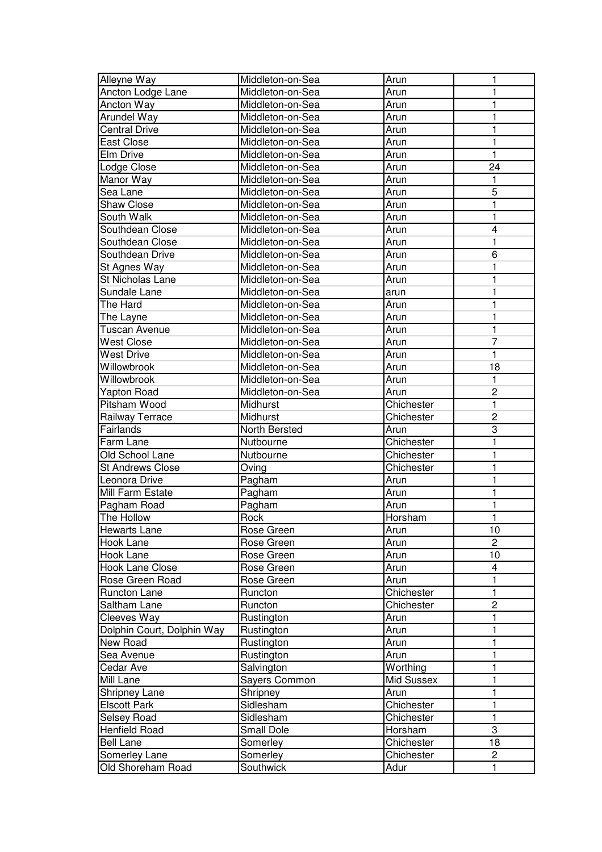| Alleyne Way                | Middleton-on-Sea  | Arun       |                |
|----------------------------|-------------------|------------|----------------|
| Ancton Lodge Lane          | Middleton-on-Sea  | Arun       |                |
| Ancton Way                 | Middleton-on-Sea  | Arun       | 1              |
| Arundel Way                | Middleton-on-Sea  | Arun       | 1              |
| <b>Central Drive</b>       | Middleton-on-Sea  | Arun       | 1              |
| East Close                 | Middleton-on-Sea  | Arun       | 1              |
| Elm Drive                  | Middleton-on-Sea  | Arun       | 1              |
| Lodge Close                | Middleton-on-Sea  | Arun       | 24             |
| Manor Way                  | Middleton-on-Sea  | Arun       | 1              |
| Sea Lane                   | Middleton-on-Sea  | Arun       | 5              |
| <b>Shaw Close</b>          | Middleton-on-Sea  | Arun       | 1              |
| South Walk                 | Middleton-on-Sea  | Arun       | 1              |
| Southdean Close            | Middleton-on-Sea  | Arun       | 4              |
| Southdean Close            | Middleton-on-Sea  | Arun       | 1              |
| Southdean Drive            | Middleton-on-Sea  | Arun       | 6              |
|                            | Middleton-on-Sea  | Arun       | 1              |
| St Agnes Way               |                   |            |                |
| St Nicholas Lane           | Middleton-on-Sea  | Arun       |                |
| Sundale Lane               | Middleton-on-Sea  | arun       |                |
| The Hard                   | Middleton-on-Sea  | Arun       | 1              |
| The Layne                  | Middleton-on-Sea  | Arun       |                |
| Tuscan Avenue              | Middleton-on-Sea  | Arun       | 1              |
| West Close                 | Middleton-on-Sea  | Arun       | 7              |
| West Drive                 | Middleton-on-Sea  | Arun       | 1              |
| Willowbrook                | Middleton-on-Sea  | Arun       | 18             |
| Willowbrook                | Middleton-on-Sea  | Arun       | 1              |
| <b>Yapton Road</b>         | Middleton-on-Sea  | Arun       | $\overline{c}$ |
| Pitsham Wood               | Midhurst          | Chichester | 1              |
| Railway Terrace            | Midhurst          | Chichester | $\overline{2}$ |
| Fairlands                  | North Bersted     | Arun       | 3              |
| Farm Lane                  | Nutbourne         | Chichester | 1              |
| Old School Lane            | Nutbourne         | Chichester | 1              |
| <b>St Andrews Close</b>    | Oving             | Chichester | 1              |
| Leonora Drive              | Pagham            | Arun       | 1              |
| Mill Farm Estate           | Pagham            | Arun       |                |
| Pagham Road                | Pagham            | Arun       | 1              |
| The Hollow                 | Rock              | Horsham    | 1              |
| Hewarts Lane               | Rose Green        | Arun       | 10             |
| Hook Lane                  | Rose Green        | Arun       | 2              |
| Hook Lane                  | Rose Green        | Arun       | 10             |
| <b>Hook Lane Close</b>     | Rose Green        | Arun       | 4              |
| Rose Green Road            | Rose Green        | Arun       | 1              |
| Runcton Lane               | Runcton           | Chichester | 1              |
| Saltham Lane               | Runcton           | Chichester | $\overline{2}$ |
| Cleeves Way                | Rustington        | Arun       | 1              |
| Dolphin Court, Dolphin Way | Rustington        | Arun       | 1              |
| New Road                   | Rustington        | Arun       | 1              |
| Sea Avenue                 | Rustington        | Arun       | 1              |
| Cedar Ave                  | Salvington        | Worthing   | 1              |
| Mill Lane                  | Sayers Common     | Mid Sussex | 1              |
| Shripney Lane              | Shripney          | Arun       | 1              |
| <b>Elscott Park</b>        | Sidlesham         | Chichester | 1              |
|                            |                   |            |                |
| Selsey Road                | Sidlesham         | Chichester | $\mathbf{1}$   |
| Henfield Road              | <b>Small Dole</b> | Horsham    | 3              |
| <b>Bell Lane</b>           | Somerley          | Chichester | 18             |
| Somerley Lane              | Somerley          | Chichester | $\overline{c}$ |
| Old Shoreham Road          | Southwick         | Adur       | $\mathbf{1}$   |